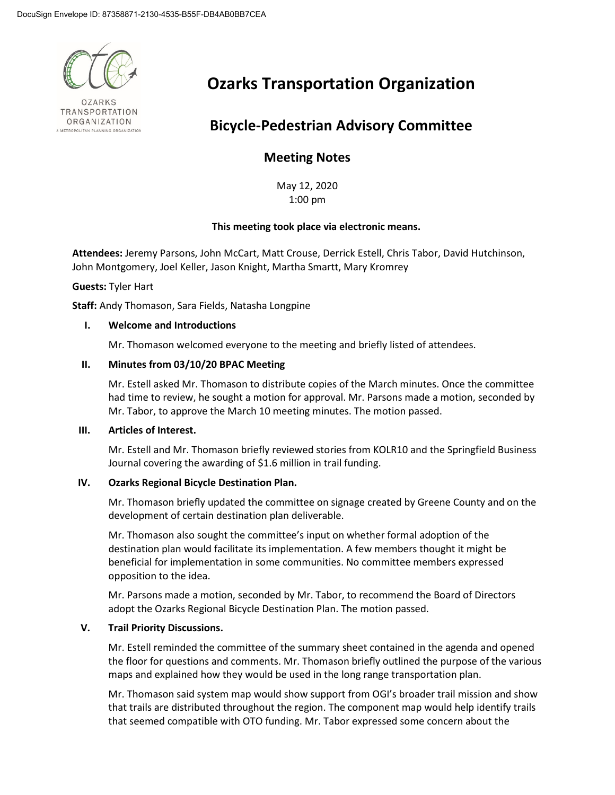

**OZARKS** TRANSPORTATION ORGANIZATION A METROPOLITAN PLANNING ORGANIZATION

# **Ozarks Transportation Organization**

## **Bicycle-Pedestrian Advisory Committee**

### **Meeting Notes**

May 12, 2020 1:00 pm

#### **This meeting took place via electronic means.**

**Attendees:** Jeremy Parsons, John McCart, Matt Crouse, Derrick Estell, Chris Tabor, David Hutchinson, John Montgomery, Joel Keller, Jason Knight, Martha Smartt, Mary Kromrey

#### **Guests:** Tyler Hart

**Staff:** Andy Thomason, Sara Fields, Natasha Longpine

#### **I. Welcome and Introductions**

Mr. Thomason welcomed everyone to the meeting and briefly listed of attendees.

#### **II. Minutes from 03/10/20 BPAC Meeting**

Mr. Estell asked Mr. Thomason to distribute copies of the March minutes. Once the committee had time to review, he sought a motion for approval. Mr. Parsons made a motion, seconded by Mr. Tabor, to approve the March 10 meeting minutes. The motion passed.

#### **III. Articles of Interest.**

Mr. Estell and Mr. Thomason briefly reviewed stories from KOLR10 and the Springfield Business Journal covering the awarding of \$1.6 million in trail funding.

#### **IV. Ozarks Regional Bicycle Destination Plan.**

Mr. Thomason briefly updated the committee on signage created by Greene County and on the development of certain destination plan deliverable.

Mr. Thomason also sought the committee's input on whether formal adoption of the destination plan would facilitate its implementation. A few members thought it might be beneficial for implementation in some communities. No committee members expressed opposition to the idea.

Mr. Parsons made a motion, seconded by Mr. Tabor, to recommend the Board of Directors adopt the Ozarks Regional Bicycle Destination Plan. The motion passed.

#### **V. Trail Priority Discussions.**

Mr. Estell reminded the committee of the summary sheet contained in the agenda and opened the floor for questions and comments. Mr. Thomason briefly outlined the purpose of the various maps and explained how they would be used in the long range transportation plan.

Mr. Thomason said system map would show support from OGI's broader trail mission and show that trails are distributed throughout the region. The component map would help identify trails that seemed compatible with OTO funding. Mr. Tabor expressed some concern about the